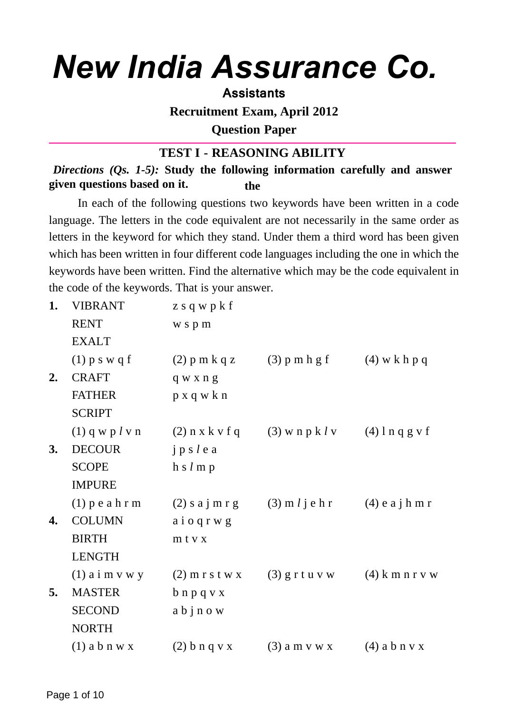# *New India Assurance Co.*

#### **Assistants**

**Recruitment Exam, April 2012**

**Question Paper**

# **TEST I - REASONING ABILITY**

*Directions (Qs. 1-5):* **Study the following information carefully and answer given questions based on it. the**

In each of the following questions two keywords have been written in a code language. The letters in the code equivalent are not necessarily in the same order as letters in the keyword for which they stand. Under them a third word has been given which has been written in four different code languages including the one in which the keywords have been written. Find the alternative which may be the code equivalent in the code of the keywords. That is your answer.

| 1. | <b>VIBRANT</b>      | z s q w $p$ k f   |                          |                   |
|----|---------------------|-------------------|--------------------------|-------------------|
|    | <b>RENT</b>         | wspm              |                          |                   |
|    | <b>EXALT</b>        |                   |                          |                   |
|    | $(1)$ p s w q f     | $(2)$ p m k q z   | $(3)$ p m h g f          | $(4)$ w k h p q   |
| 2. | <b>CRAFT</b>        | q w x n g         |                          |                   |
|    | <b>FATHER</b>       | p x q w k n       |                          |                   |
|    | <b>SCRIPT</b>       |                   |                          |                   |
|    | $(1)$ q w p $l$ v n | $(2)$ n x k v f q | $(3)$ w n p k l v        | $(4)$ l n q g v f |
| 3. | <b>DECOUR</b>       | jp s l e a        |                          |                   |
|    | <b>SCOPE</b>        | h s l m p         |                          |                   |
|    | <b>IMPURE</b>       |                   |                          |                   |
|    | $(1)$ p e a h r m   | $(2)$ s a j m r g | $(3)$ m <i>l</i> j e h r | $(4)$ e a j h m r |
| 4. | <b>COLUMN</b>       | aioqrwg           |                          |                   |
|    | <b>BIRTH</b>        | mtvx              |                          |                   |
|    | <b>LENGTH</b>       |                   |                          |                   |
|    | $(1)$ a i m v w y   | $(2)$ m r s t w x | $(3)$ g r t u v w        | $(4)$ k m n r v w |
| 5. | <b>MASTER</b>       | $b$ n p q v x     |                          |                   |
|    | <b>SECOND</b>       | abjnow            |                          |                   |
|    | <b>NORTH</b>        |                   |                          |                   |
|    | $(1)$ a b n w x     | $(2)$ b n q v x   | $(3)$ a m v w x          | $(4)$ a b n v x   |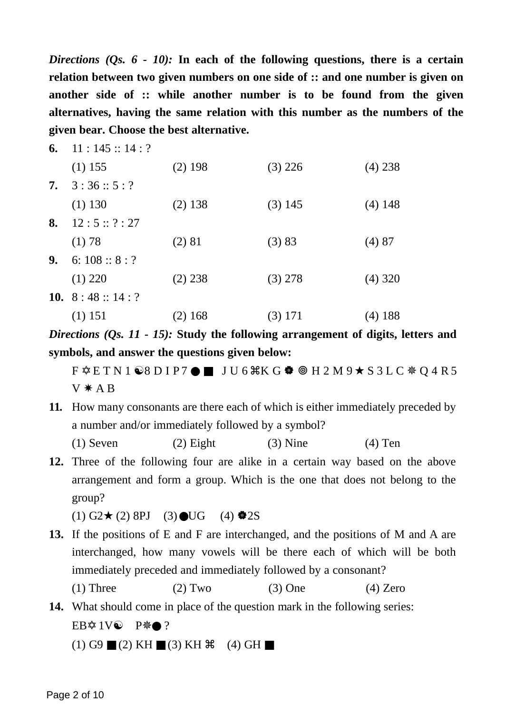*Directions (Qs. 6 - 10):* **In each of the following questions, there is a certain relation between two given numbers on one side of :: and one number is given on another side of :: while another number is to be found from the given alternatives, having the same relation with this number as the numbers of the given bear. Choose the best alternative.**

| 6. | 11:145::14:?         |           |           |           |
|----|----------------------|-----------|-----------|-----------|
|    | $(1)$ 155            | $(2)$ 198 | $(3)$ 226 | $(4)$ 238 |
| 7. | 3:36::5:?            |           |           |           |
|    | $(1)$ 130            | $(2)$ 138 | $(3)$ 145 | $(4)$ 148 |
| 8. | 12:5::?:27           |           |           |           |
|    | (1) 78               | (2) 81    | (3) 83    | (4)87     |
| 9. | 6: $108::8:?$        |           |           |           |
|    | $(1)$ 220            | $(2)$ 238 | $(3)$ 278 | $(4)$ 320 |
|    | 10. 8 : 48 :: 14 : ? |           |           |           |
|    | $(1)$ 151            | $(2)$ 168 | $(3)$ 171 | $(4)$ 188 |

*Directions (Qs. 11 - 15):* **Study the following arrangement of digits, letters and symbols, and answer the questions given below:**

F ✡ E T N 1 ☯8 D I P 7 ● ■ J U 6 -K G H 2 M 9 ★ S 3 L C ✵ Q 4 R 5  $V * A B$ 

**11.** How many consonants are there each of which is either immediately preceded by a number and/or immediately followed by a symbol?

(1) Seven (2) Eight (3) Nine (4) Ten

**12.** Three of the following four are alike in a certain way based on the above arrangement and form a group. Which is the one that does not belong to the group?

 $(1)$  G2★ (2) 8PJ (3) ●UG (4) ◆2S

- **13.** If the positions of E and F are interchanged, and the positions of M and A are interchanged, how many vowels will be there each of which will be both immediately preceded and immediately followed by a consonant? (1) Three (2) Two (3) One (4) Zero
- **14.** What should come in place of the question mark in the following series: EB✡ 1V☯ P✵● ?

 $(1)$  G9  $(2)$  KH  $(3)$  KH  $(4)$  GH  $(4)$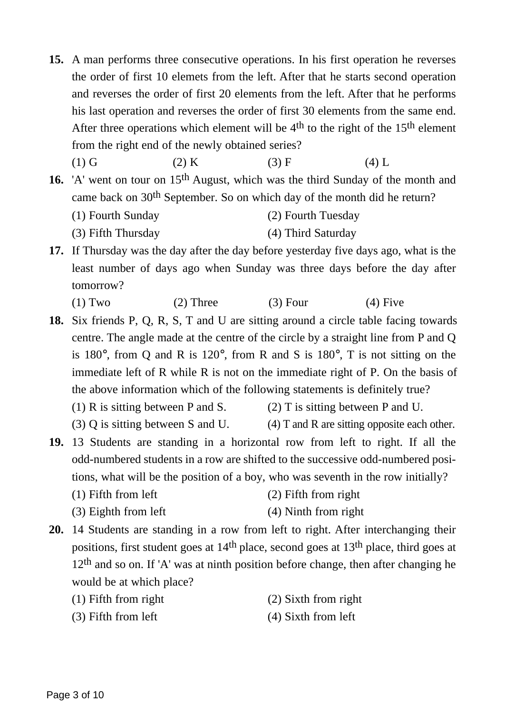- **15.** A man performs three consecutive operations. In his first operation he reverses the order of first 10 elemets from the left. After that he starts second operation and reverses the order of first 20 elements from the left. After that he performs his last operation and reverses the order of first 30 elements from the same end. After three operations which element will be  $4<sup>th</sup>$  to the right of the 15<sup>th</sup> element from the right end of the newly obtained series?
	- (1) G (2) K (3) F (4) L
- **16.** 'A' went on tour on 15th August, which was the third Sunday of the month and came back on 30th September. So on which day of the month did he return?
	- (1) Fourth Sunday (2) Fourth Tuesday
	- (3) Fifth Thursday (4) Third Saturday
- **17.** If Thursday was the day after the day before yesterday five days ago, what is the least number of days ago when Sunday was three days before the day after tomorrow?
	- (1) Two  $(2)$  Three  $(3)$  Four  $(4)$  Five

**18.** Six friends P, Q, R, S, T and U are sitting around a circle table facing towards centre. The angle made at the centre of the circle by a straight line from P and Q is 180°, from Q and R is 120°, from R and S is 180°, T is not sitting on the immediate left of R while R is not on the immediate right of P. On the basis of the above information which of the following statements is definitely true?

(1) R is sitting between P and S. (2) T is sitting between P and U.

- (3) Q is sitting between S and U.  $(4)$  T and R are sitting opposite each other.
- **19.** 13 Students are standing in a horizontal row from left to right. If all the odd-numbered students in a row are shifted to the successive odd-numbered positions, what will be the position of a boy, who was seventh in the row initially?
	- (1) Fifth from left (2) Fifth from right
	- (3) Eighth from left (4) Ninth from right
- **20.** 14 Students are standing in a row from left to right. After interchanging their positions, first student goes at 14th place, second goes at 13th place, third goes at  $12<sup>th</sup>$  and so on. If 'A' was at ninth position before change, then after changing he would be at which place?
	- (1) Fifth from right (2) Sixth from right
	-
- 
- (3) Fifth from left (4) Sixth from left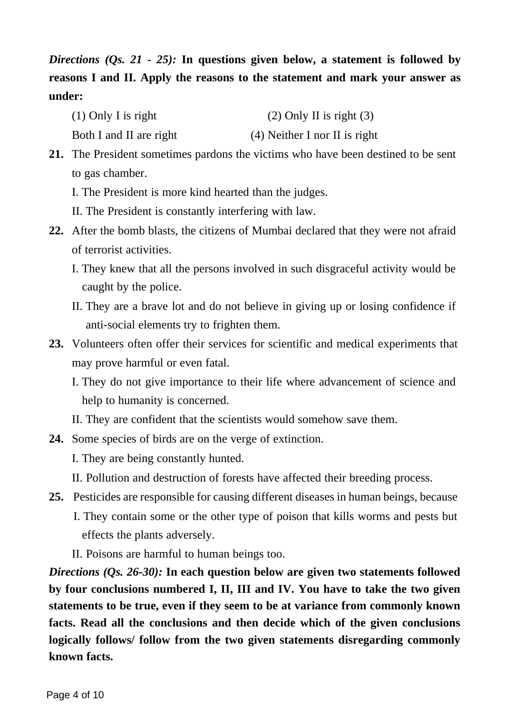*Directions (Qs. 21 - 25):* **In questions given below, a statement is followed by reasons I and II. Apply the reasons to the statement and mark your answer as under:**

- (1) Only I is right (2) Only II is right  $(3)$
- Both I and II are right (4) Neither I nor II is right

**21.** The President sometimes pardons the victims who have been destined to be sent to gas chamber.

- I. The President is more kind hearted than the judges.
- II. The President is constantly interfering with law.
- **22.** After the bomb blasts, the citizens of Mumbai declared that they were not afraid of terrorist activities.
	- I. They knew that all the persons involved in such disgraceful activity would be caught by the police.
	- II. They are a brave lot and do not believe in giving up or losing confidence if anti-social elements try to frighten them.
- **23.** Volunteers often offer their services for scientific and medical experiments that may prove harmful or even fatal.
	- I. They do not give importance to their life where advancement of science and help to humanity is concerned.
	- II. They are confident that the scientists would somehow save them.
- **24.** Some species of birds are on the verge of extinction.
	- I. They are being constantly hunted.
	- II. Pollution and destruction of forests have affected their breeding process.
- **25.** Pesticides are responsible for causing different diseases in human beings, because
	- I. They contain some or the other type of poison that kills worms and pests but effects the plants adversely.
	- II. Poisons are harmful to human beings too.

*Directions (Qs. 26-30):* **In each question below are given two statements followed by four conclusions numbered I, II, III and IV. You have to take the two given statements to be true, even if they seem to be at variance from commonly known facts. Read all the conclusions and then decide which of the given conclusions logically follows/ follow from the two given statements disregarding commonly known facts.**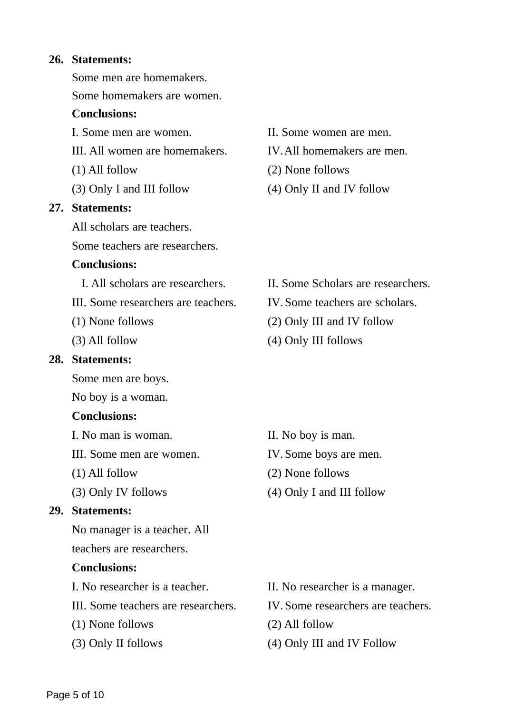#### **26. Statements:**

Some men are homemakers.

Some homemakers are women.

#### **Conclusions:**

- III. All women are homemakers. IV.All homemakers are men.
- (1) All follow
- (3) Only I and III follow

#### **27. Statements:**

All scholars are teachers.

Some teachers are researchers.

#### **Conclusions:**

- 
- III. Some researchers are teachers. IV. Some teachers are scholars.
- (1) None follows
- (3) All follow

#### **28. Statements:**

Some men are boys.

No boy is a woman.

#### **Conclusions:**

- I. No man is woman. II. No boy is man.
- III. Some men are women. IV. Some boys are men.
- (1) All follow
- (3) Only IV follows

#### **29. Statements:**

No manager is a teacher. All

teachers are researchers.

#### **Conclusions:**

- III. Some teachers are researchers. IV. Some researchers are teachers.
- (1) None follows
- (3) Only II follows
- I. Some men are women. II. Some women are men.
	-
	- (2) None follows
	- (4) Only II and IV follow

- I. All scholars are researchers. II. Some Scholars are researchers.
	-
	- (2) Only III and IV follow
	- (4) Only III follows

- 
- 
- (2) None follows
- (4) Only I and III follow

- I. No researcher is a teacher. II. No researcher is a manager.
	-
	- (2) All follow
	- (4) Only III and IV Follow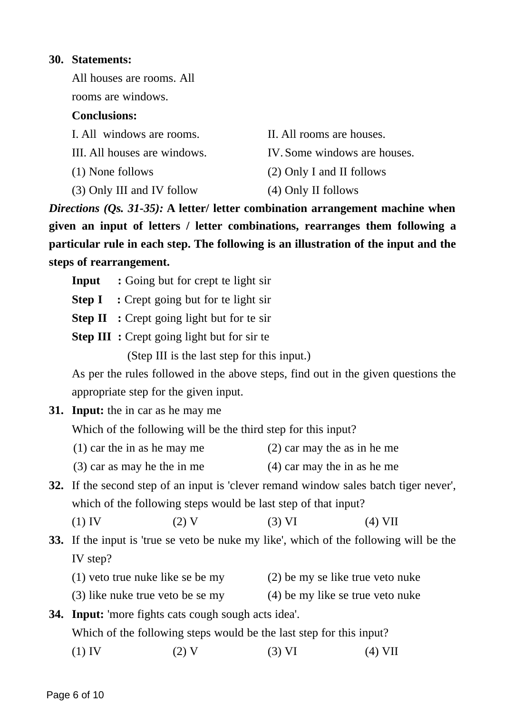#### **30. Statements:**

All houses are rooms. All

rooms are windows.

# **Conclusions:**

| I. All windows are rooms.    | II. All rooms are houses.    |
|------------------------------|------------------------------|
| III. All houses are windows. | IV. Some windows are houses. |
| (1) None follows             | (2) Only I and II follows    |
| (3) Only III and IV follow   | (4) Only II follows          |

*Directions (Qs. 31-35):* **A letter/ letter combination arrangement machine when given an input of letters / letter combinations, rearranges them following a particular rule in each step. The following is an illustration of the input and the steps of rearrangement.**

- **Input :** Going but for crept te light sir
- **Step I** : Crept going but for te light sir
- **Step II** : Crept going light but for te sir
- **Step III** : Crept going light but for sir te

(Step III is the last step for this input.)

As per the rules followed in the above steps, find out in the given questions the appropriate step for the given input.

**31. Input:** the in car as he may me

Which of the following will be the third step for this input?

- (1) car the in as he may me (2) car may the as in he me
- (3) car as may he the in me (4) car may the in as he me
- **32.** If the second step of an input is 'clever remand window sales batch tiger never', which of the following steps would be last step of that input?
	- (1) IV (2) V (3) VI (4) VII
- **33.** If the input is 'true se veto be nuke my like', which of the following will be the IV step?
	- (1) veto true nuke like se be my (2) be my se like true veto nuke
	- (3) like nuke true veto be se my (4) be my like se true veto nuke

# **34. Input:** 'more fights cats cough sough acts idea'. Which of the following steps would be the last step for this input?

(1) IV (2) V (3) VI (4) VII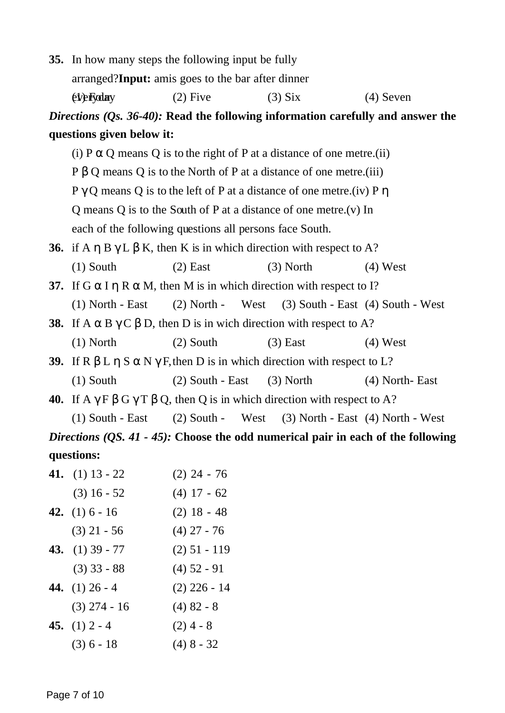|                                                                                  | 35. In how many steps the following input be fully                                                    |                    |                                                                               |                  |  |
|----------------------------------------------------------------------------------|-------------------------------------------------------------------------------------------------------|--------------------|-------------------------------------------------------------------------------|------------------|--|
|                                                                                  | arranged?Input: amis goes to the bar after dinner                                                     |                    |                                                                               |                  |  |
|                                                                                  | <i><b>(t)</b></i> Fyclary                                                                             | $(2)$ Five         | $(3)$ Six                                                                     | $(4)$ Seven      |  |
|                                                                                  | Directions $(Qs. 36-40)$ : Read the following information carefully and answer the                    |                    |                                                                               |                  |  |
|                                                                                  | questions given below it:                                                                             |                    |                                                                               |                  |  |
|                                                                                  |                                                                                                       |                    | (i) $P \alpha Q$ means Q is to the right of P at a distance of one metre.(ii) |                  |  |
|                                                                                  |                                                                                                       |                    | $P \beta Q$ means Q is to the North of P at a distance of one metre.(iii)     |                  |  |
|                                                                                  | $P \gamma Q$ means Q is to the left of P at a distance of one metre. (iv) P $\eta$                    |                    |                                                                               |                  |  |
|                                                                                  | Q means Q is to the South of P at a distance of one metre. (v) In                                     |                    |                                                                               |                  |  |
|                                                                                  | each of the following questions all persons face South.                                               |                    |                                                                               |                  |  |
|                                                                                  | <b>36.</b> if A $\eta$ B $\gamma$ L $\beta$ K, then K is in which direction with respect to A?        |                    |                                                                               |                  |  |
|                                                                                  | $(1)$ South                                                                                           | $(2)$ East         | $(3)$ North                                                                   | $(4)$ West       |  |
|                                                                                  | 37. If $G \alpha I \eta R \alpha M$ , then M is in which direction with respect to I?                 |                    |                                                                               |                  |  |
|                                                                                  | $(1)$ North - East                                                                                    | $(2)$ North -      | West (3) South - East (4) South - West                                        |                  |  |
|                                                                                  | <b>38.</b> If A $\alpha$ B $\gamma$ C $\beta$ D, then D is in wich direction with respect to A?       |                    |                                                                               |                  |  |
|                                                                                  | $(1)$ North                                                                                           | $(2)$ South        | $(3)$ East                                                                    | $(4)$ West       |  |
|                                                                                  | 39. If R $\beta$ L $\eta$ S $\alpha$ N $\gamma$ F, then D is in which direction with respect to L?    |                    |                                                                               |                  |  |
|                                                                                  | $(1)$ South                                                                                           | $(2)$ South - East | $(3)$ North                                                                   | $(4)$ North-East |  |
|                                                                                  | <b>40.</b> If $A \gamma F \beta G \gamma T \beta Q$ , then Q is in which direction with respect to A? |                    |                                                                               |                  |  |
|                                                                                  | $(1)$ South - East                                                                                    | $(2)$ South -      | West $(3)$ North - East $(4)$ North - West                                    |                  |  |
| Directions (QS. 41 - 45): Choose the odd numerical pair in each of the following |                                                                                                       |                    |                                                                               |                  |  |
| questions:                                                                       |                                                                                                       |                    |                                                                               |                  |  |
|                                                                                  | $\mathbf{A}$ (1) $\mathbf{A}$ $\mathbf{A}$                                                            | $(0)$ $(1)$        |                                                                               |                  |  |

| 41. $(1)$ 13 - 22       | $(2)$ 24 - 76  |
|-------------------------|----------------|
| $(3)$ 16 - 52           | $(4)$ 17 - 62  |
| 42. $(1)$ 6 - 16        | $(2)$ 18 - 48  |
| $(3)$ 21 - 56           | $(4)$ 27 - 76  |
| <b>43.</b> (1) 39 - 77  | $(2)$ 51 - 119 |
| $(3)$ 33 - 88           | $(4)$ 52 - 91  |
| <b>44.</b> (1) $26 - 4$ | $(2)$ 226 - 14 |
| $(3)$ 274 - 16          | $(4)$ 82 - 8   |
| 45. $(1)$ 2 - 4         | $(2)$ 4 - 8    |
| $(3) 6 - 18$            | $(4)$ 8 - 32   |
|                         |                |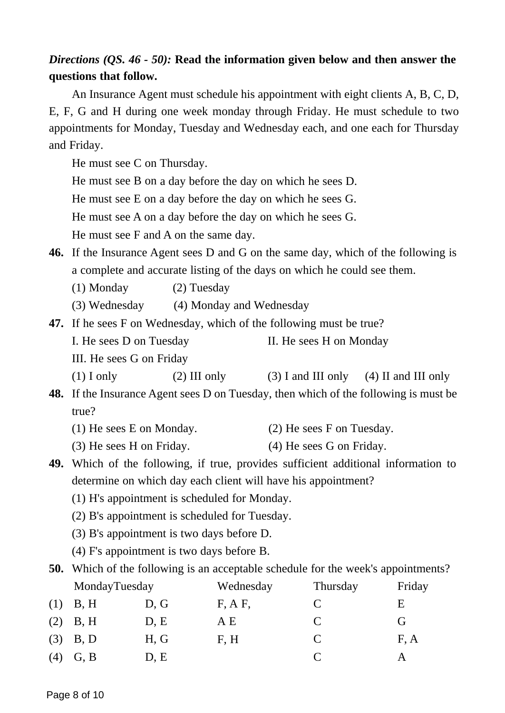# *Directions (QS. 46 - 50):* **Read the information given below and then answer the questions that follow.**

An Insurance Agent must schedule his appointment with eight clients A, B, C, D, E, F, G and H during one week monday through Friday. He must schedule to two appointments for Monday, Tuesday and Wednesday each, and one each for Thursday and Friday.

He must see C on Thursday.

He must see B on a day before the day on which he sees D.

He must see E on a day before the day on which he sees G.

He must see A on a day before the day on which he sees G.

He must see F and A on the same day.

**46.** If the Insurance Agent sees D and G on the same day, which of the following is a complete and accurate listing of the days on which he could see them.

(1) Monday (2) Tuesday

(3) Wednesday (4) Monday and Wednesday

**47.** If he sees F on Wednesday, which of the following must be true? I. He sees D on Tuesday II. He sees H on Monday III. He sees G on Friday (1) I only (2) III only (3) I and III only (4) II and III only

**48.** If the Insurance Agent sees D on Tuesday, then which of the following is must be true?

- (1) He sees E on Monday. (2) He sees F on Tuesday.
- (3) He sees H on Friday. (4) He sees G on Friday.
- **49.** Which of the following, if true, provides sufficient additional information to determine on which day each client will have his appointment?
	- (1) H's appointment is scheduled for Monday.
	- (2) B's appointment is scheduled for Tuesday.
	- (3) B's appointment is two days before D.
	- (4) F's appointment is two days before B.

**50.** Which of the following is an acceptable schedule for the week's appointments?

|     | MondayTuesday |      | Wednesday | Thursday      | Friday |
|-----|---------------|------|-----------|---------------|--------|
|     | $(1)$ B, H    | D, G | F, A F,   | C             | E      |
|     | $(2)$ B, H    | D, E | ΑE        | C             | (ì     |
|     | $(3)$ B, D    | H, G | F, H      | C             | F, A   |
| (4) | G, B          | D, E |           | $\mathcal{C}$ |        |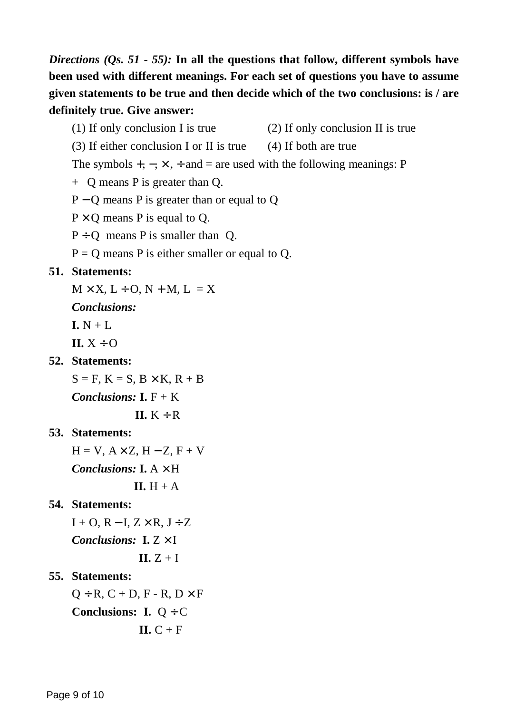*Directions (Qs. 51 - 55):* **In all the questions that follow, different symbols have been used with different meanings. For each set of questions you have to assume given statements to be true and then decide which of the two conclusions: is / are definitely true. Give answer:**

- (1) If only conclusion I is true (2) If only conclusion II is true
- (3) If either conclusion I or II is true (4) If both are true
- The symbols  $+$ ,  $-$ ,  $\times$ ,  $\div$  and  $=$  are used with the following meanings: P
- + Q means P is greater than Q.
- P − Q means P is greater than or equal to Q
- $P \times Q$  means P is equal to Q.
- $P \div Q$  means P is smaller than Q.
- $P = Q$  means P is either smaller or equal to Q.

#### **51. Statements:**

- $M \times X$ ,  $L \div O$ ,  $N + M$ ,  $L = X$
- *Conclusions:*
- $I. N + I.$
- $\mathbf{II} \cdot \mathbf{X} \div \mathbf{O}$
- **52. Statements:**
	- $S = F$ ,  $K = S$ ,  $B \times K$ ,  $R + B$
	- *Conclusions:*  $I. F + K$ 
		- $II. K \div R$

## **53. Statements:**

 $H = V$ ,  $A \times Z$ ,  $H - Z$ ,  $F + V$ *Conclusions:* **I.**  $A \times H$  $II. H + A$ 

## **54. Statements:**

- $I + O$ ,  $R I$ ,  $Z \times R$ ,  $J \div Z$ *Conclusions:* **I.** Z × I **II.** Z + I
- **55. Statements:**
	- $Q \div R$ ,  $C + D$ ,  $F R$ ,  $D \times F$ **Conclusions: I.** Q ÷ C  $ILC + F$